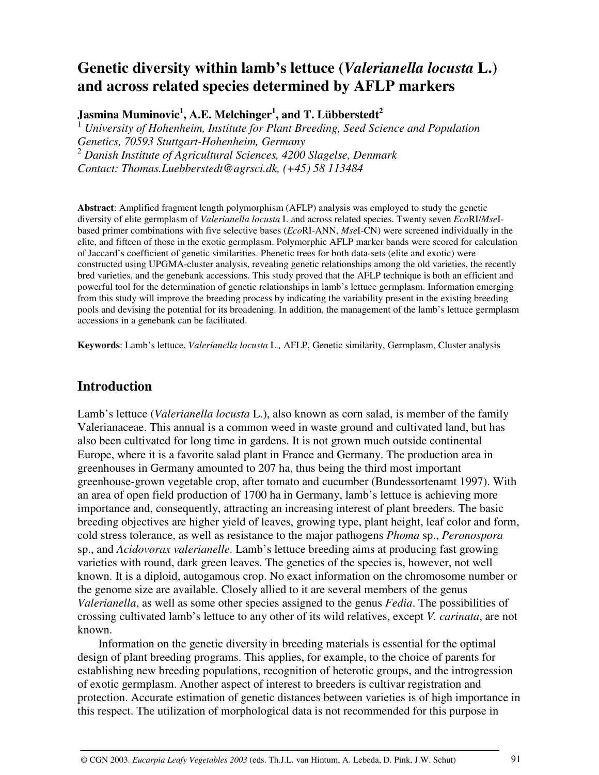# **Genetic diversity within lamb's lettuce (***Valerianella locusta* **L.) and across related species determined by AFLP markers**

**Jasmina Muminovic 1 , A.E. Melchinger 1 , and T. Lübberstedt 2**

<sup>1</sup> *University of Hohenheim, Institute for Plant Breeding, Seed Science and Population Genetics, 70593 Stuttgart-Hohenheim, Germany* <sup>2</sup> *Danish Institute of Agricultural Sciences, 4200 Slagelse, Denmark Contact: Thomas.Luebberstedt@agrsci.dk, (+45) 58 113484*

**Abstract**: Amplified fragment length polymorphism (AFLP) analysis was employed to study the genetic diversity of elite germplasm of *Valerianella locusta* L and across related species. Twenty seven *Eco*RI/*Mse*Ibased primer combinations with five selective bases (*Eco*RI-ANN, *Mse*I-CN) were screened individually in the elite, and fifteen of those in the exotic germplasm. Polymorphic AFLP marker bands were scored for calculation of Jaccard's coefficient of genetic similarities. Phenetic trees for both data-sets (elite and exotic) were constructed using UPGMA-cluster analysis, revealing genetic relationships among the old varieties, the recently bred varieties, and the genebank accessions. This study proved that the AFLP technique is both an efficient and powerful tool for the determination of genetic relationships in lamb's lettuce germplasm. Information emerging from this study will improve the breeding process by indicating the variability present in the existing breeding pools and devising the potential for its broadening. In addition, the management of the lamb's lettuce germplasm accessions in a genebank can be facilitated.

**Keywords**: Lamb's lettuce, *Valerianella locusta* L*.,* AFLP, Genetic similarity, Germplasm, Cluster analysis

# **Introduction**

Lamb's lettuce (*Valerianella locusta* L.), also known as corn salad, is member of the family Valerianaceae. This annual is a common weed in waste ground and cultivated land, but has also been cultivated for long time in gardens. It is not grown much outside continental Europe, where it is a favorite salad plant in France and Germany. The production area in greenhouses in Germany amounted to 207 ha, thus being the third most important greenhouse-grown vegetable crop, after tomato and cucumber (Bundessortenamt 1997). With an area of open field production of 1700 ha in Germany, lamb's lettuce is achieving more importance and, consequently, attracting an increasing interest of plant breeders. The basic breeding objectives are higher yield of leaves, growing type, plant height, leaf color and form, cold stress tolerance, as well as resistance to the major pathogens *Phoma* sp., *Peronospora* sp., and *Acidovorax valerianelle*. Lamb's lettuce breeding aims at producing fast growing varieties with round, dark green leaves. The genetics of the species is, however, not well known. It is a diploid, autogamous crop. No exact information on the chromosome number or the genome size are available. Closely allied to it are several members of the genus *Valerianella*, as well as some other species assigned to the genus *Fedia*. The possibilities of crossing cultivated lamb's lettuce to any other of its wild relatives, except *V. carinata*, are not known.

Information on the genetic diversity in breeding materials is essential for the optimal design of plant breeding programs. This applies, for example, to the choice of parents for establishing new breeding populations, recognition of heterotic groups, and the introgression of exotic germplasm. Another aspect of interest to breeders is cultivar registration and protection. Accurate estimation of genetic distances between varieties is of high importance in this respect. The utilization of morphological data is not recommended for this purpose in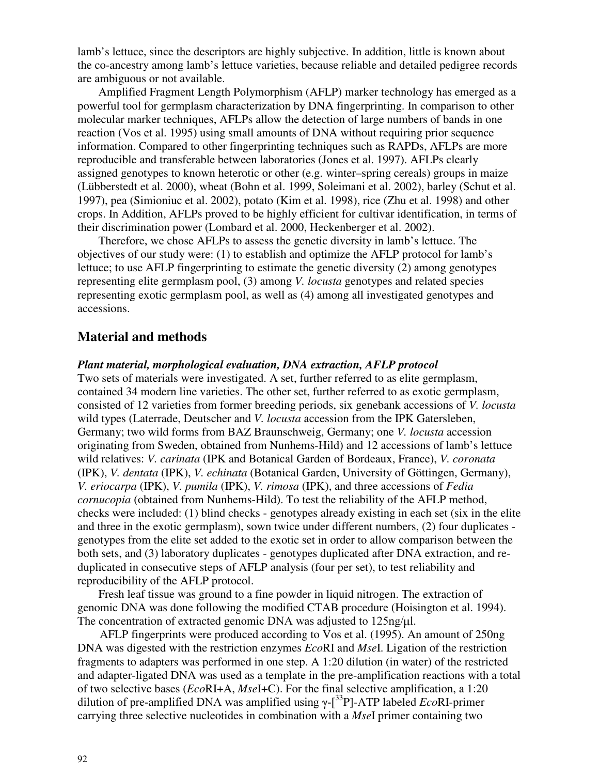lamb's lettuce, since the descriptors are highly subjective. In addition, little is known about the co-ancestry among lamb's lettuce varieties, because reliable and detailed pedigree records are ambiguous or not available.

Amplified Fragment Length Polymorphism (AFLP) marker technology has emerged as a powerful tool for germplasm characterization by DNA fingerprinting. In comparison to other molecular marker techniques, AFLPs allow the detection of large numbers of bands in one reaction (Vos et al. 1995) using small amounts of DNA without requiring prior sequence information. Compared to other fingerprinting techniques such as RAPDs, AFLPs are more reproducible and transferable between laboratories (Jones et al. 1997). AFLPs clearly assigned genotypes to known heterotic or other (e.g. winter–spring cereals) groups in maize (Lübberstedt et al. 2000), wheat (Bohn et al. 1999, Soleimani et al. 2002), barley (Schut et al. 1997), pea (Simioniuc et al. 2002), potato (Kim et al. 1998), rice (Zhu et al. 1998) and other crops. In Addition, AFLPs proved to be highly efficient for cultivar identification, in terms of their discrimination power (Lombard et al. 2000, Heckenberger et al. 2002).

Therefore, we chose AFLPs to assess the genetic diversity in lamb's lettuce. The objectives of our study were: (1) to establish and optimize the AFLP protocol for lamb's lettuce; to use AFLP fingerprinting to estimate the genetic diversity (2) among genotypes representing elite germplasm pool, (3) among *V. locusta* genotypes and related species representing exotic germplasm pool, as well as (4) among all investigated genotypes and accessions.

## **Material and methods**

#### *Plant material, morphological evaluation, DNA extraction, AFLP protocol*

Two sets of materials were investigated. A set, further referred to as elite germplasm, contained 34 modern line varieties. The other set, further referred to as exotic germplasm, consisted of 12 varieties from former breeding periods, six genebank accessions of *V. locusta* wild types (Laterrade, Deutscher and *V. locusta* accession from the IPK Gatersleben, Germany; two wild forms from BAZ Braunschweig, Germany; one *V. locusta* accession originating from Sweden, obtained from Nunhems-Hild) and 12 accessions of lamb's lettuce wild relatives: *V. carinata* (IPK and Botanical Garden of Bordeaux, France), *V. coronata* (IPK), *V. dentata* (IPK), *V. echinata* (Botanical Garden, University of Göttingen, Germany), *V. eriocarpa* (IPK), *V. pumila* (IPK), *V. rimosa* (IPK), and three accessions of *Fedia cornucopia* (obtained from Nunhems-Hild). To test the reliability of the AFLP method, checks were included: (1) blind checks - genotypes already existing in each set (six in the elite and three in the exotic germplasm), sown twice under different numbers, (2) four duplicates genotypes from the elite set added to the exotic set in order to allow comparison between the both sets, and (3) laboratory duplicates - genotypes duplicated after DNA extraction, and reduplicated in consecutive steps of AFLP analysis (four per set), to test reliability and reproducibility of the AFLP protocol.

Fresh leaf tissue was ground to a fine powder in liquid nitrogen. The extraction of genomic DNA was done following the modified CTAB procedure (Hoisington et al. 1994). The concentration of extracted genomic DNA was adjusted to  $125$ ng/ $\mu$ l.

AFLP fingerprints were produced according to Vos et al. (1995). An amount of 250ng DNA was digested with the restriction enzymes *Eco*RI and *Mse*I. Ligation of the restriction fragments to adapters was performed in one step. A 1:20 dilution (in water) of the restricted and adapter-ligated DNA was used as a template in the pre-amplification reactions with a total of two selective bases (*Eco*RI+A, *Mse*I+C). For the final selective amplification, a 1:20 dilution of pre-amplified DNA was amplified using  $\gamma$ - $[^{33}P]$ -ATP labeled *Eco*RI-primer carrying three selective nucleotides in combination with a *Mse*I primer containing two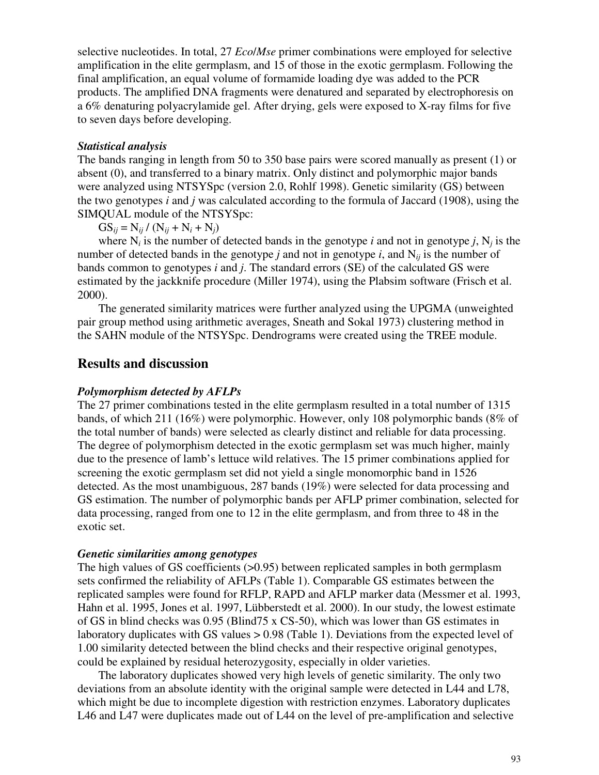selective nucleotides. In total, 27 *Eco*/*Mse* primer combinations were employed for selective amplification in the elite germplasm, and 15 of those in the exotic germplasm. Following the final amplification, an equal volume of formamide loading dye was added to the PCR products. The amplified DNA fragments were denatured and separated by electrophoresis on a 6% denaturing polyacrylamide gel. After drying, gels were exposed to X-ray films for five to seven days before developing.

#### *Statistical analysis*

The bands ranging in length from 50 to 350 base pairs were scored manually as present (1) or absent (0), and transferred to a binary matrix. Only distinct and polymorphic major bands were analyzed using NTSYSpc (version 2.0, Rohlf 1998). Genetic similarity (GS) between the two genotypes *i* and *j* was calculated according to the formula of Jaccard (1908), using the SIMQUAL module of the NTSYSpc:

 $GS_{ij} = N_{ij} / (N_{ij} + N_i + N_j)$ 

where  $N_i$  is the number of detected bands in the genotype *i* and not in genotype *j*,  $N_j$  is the number of detected bands in the genotype *j* and not in genotype *i*, and  $N_{ii}$  is the number of bands common to genotypes *i* and *j*. The standard errors (SE) of the calculated GS were estimated by the jackknife procedure (Miller 1974), using the Plabsim software (Frisch et al. 2000).

The generated similarity matrices were further analyzed using the UPGMA (unweighted pair group method using arithmetic averages, Sneath and Sokal 1973) clustering method in the SAHN module of the NTSYSpc. Dendrograms were created using the TREE module.

## **Results and discussion**

## *Polymorphism detected by AFLPs*

The 27 primer combinations tested in the elite germplasm resulted in a total number of 1315 bands, of which 211 (16%) were polymorphic. However, only 108 polymorphic bands (8% of the total number of bands) were selected as clearly distinct and reliable for data processing. The degree of polymorphism detected in the exotic germplasm set was much higher, mainly due to the presence of lamb's lettuce wild relatives. The 15 primer combinations applied for screening the exotic germplasm set did not yield a single monomorphic band in 1526 detected. As the most unambiguous, 287 bands (19%) were selected for data processing and GS estimation. The number of polymorphic bands per AFLP primer combination, selected for data processing, ranged from one to 12 in the elite germplasm, and from three to 48 in the exotic set.

#### *Genetic similarities among genotypes*

The high values of GS coefficients  $(0.95)$  between replicated samples in both germplasm sets confirmed the reliability of AFLPs (Table 1). Comparable GS estimates between the replicated samples were found for RFLP, RAPD and AFLP marker data (Messmer et al. 1993, Hahn et al. 1995, Jones et al. 1997, Lübberstedt et al. 2000). In our study, the lowest estimate of GS in blind checks was 0.95 (Blind75 x CS-50), which was lower than GS estimates in laboratory duplicates with GS values > 0.98 (Table 1). Deviations from the expected level of 1.00 similarity detected between the blind checks and their respective original genotypes, could be explained by residual heterozygosity, especially in older varieties.

The laboratory duplicates showed very high levels of genetic similarity. The only two deviations from an absolute identity with the original sample were detected in L44 and L78, which might be due to incomplete digestion with restriction enzymes. Laboratory duplicates L46 and L47 were duplicates made out of L44 on the level of pre-amplification and selective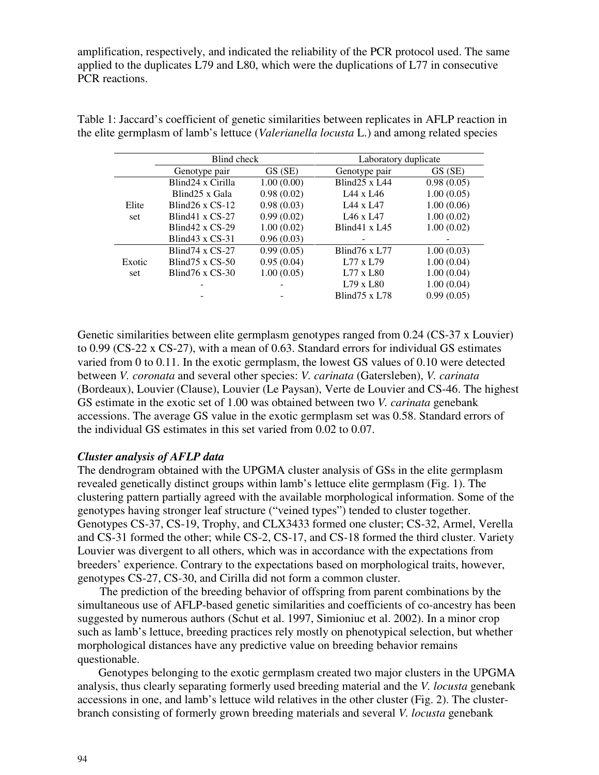amplification, respectively, and indicated the reliability of the PCR protocol used. The same applied to the duplicates L79 and L80, which were the duplications of L77 in consecutive PCR reactions.

|        | Blind check                |            | Laboratory duplicate              |            |
|--------|----------------------------|------------|-----------------------------------|------------|
|        | Genotype pair              | GS (SE)    | Genotype pair                     | GS (SE)    |
|        | Blind24 x Cirilla          | 1.00(0.00) | Blind $25 \times L44$             | 0.98(0.05) |
|        | Blind <sub>25</sub> x Gala | 0.98(0.02) | L <sub>44</sub> x L <sub>46</sub> | 1.00(0.05) |
| Elite  | Blind $26 \times CS-12$    | 0.98(0.03) | L <sub>44</sub> x L <sub>47</sub> | 1.00(0.06) |
| set    | Blind 41 x $CS-27$         | 0.99(0.02) | L <sub>46</sub> x L <sub>47</sub> | 1.00(0.02) |
|        | Blind 42 x $CS-29$         | 1.00(0.02) | Blind 41 x $L45$                  | 1.00(0.02) |
|        | Blind 43 x $CS-31$         | 0.96(0.03) |                                   |            |
|        | Blind $74 \times$ CS-27    | 0.99(0.05) | Blind $76 \times L77$             | 1.00(0.03) |
| Exotic | Blind $75 \times CS - 50$  | 0.95(0.04) | L77 x L79                         | 1.00(0.04) |
| set    | Blind $76 \times CS - 30$  | 1.00(0.05) | $L77 \times L80$                  | 1.00(0.04) |
|        |                            |            | $L79 \times L80$                  | 1.00(0.04) |
|        |                            |            | Blind $75 \times 1.78$            | 0.99(0.05) |

Table 1: Jaccard's coefficient of genetic similarities between replicates in AFLP reaction in the elite germplasm of lamb's lettuce (*Valerianella locusta* L.) and among related species

Genetic similarities between elite germplasm genotypes ranged from 0.24 (CS-37 x Louvier) to 0.99 (CS-22 x CS-27), with a mean of 0.63. Standard errors for individual GS estimates varied from 0 to 0.11. In the exotic germplasm, the lowest GS values of 0.10 were detected between *V. coronata* and several other species: *V. carinata* (Gatersleben), *V. carinata* (Bordeaux), Louvier (Clause), Louvier (Le Paysan), Verte de Louvier and CS-46. The highest GS estimate in the exotic set of 1.00 was obtained between two *V. carinata* genebank accessions. The average GS value in the exotic germplasm set was 0.58. Standard errors of the individual GS estimates in this set varied from 0.02 to 0.07.

#### *Cluster analysis of AFLP data*

The dendrogram obtained with the UPGMA cluster analysis of GSs in the elite germplasm revealed genetically distinct groups within lamb's lettuce elite germplasm (Fig. 1). The clustering pattern partially agreed with the available morphological information. Some of the genotypes having stronger leaf structure ("veined types") tended to cluster together. Genotypes CS-37, CS-19, Trophy, and CLX3433 formed one cluster; CS-32, Armel, Verella and CS-31 formed the other; while CS-2, CS-17, and CS-18 formed the third cluster. Variety Louvier was divergent to all others, which was in accordance with the expectations from breeders' experience. Contrary to the expectations based on morphological traits, however, genotypes CS-27, CS-30, and Cirilla did not form a common cluster.

The prediction of the breeding behavior of offspring from parent combinations by the simultaneous use of AFLP-based genetic similarities and coefficients of co-ancestry has been suggested by numerous authors (Schut et al. 1997, Simioniuc et al. 2002). In a minor crop such as lamb's lettuce, breeding practices rely mostly on phenotypical selection, but whether morphological distances have any predictive value on breeding behavior remains questionable.

Genotypes belonging to the exotic germplasm created two major clusters in the UPGMA analysis, thus clearly separating formerly used breeding material and the *V. locusta* genebank accessions in one, and lamb's lettuce wild relatives in the other cluster (Fig. 2). The clusterbranch consisting of formerly grown breeding materials and several *V. locusta* genebank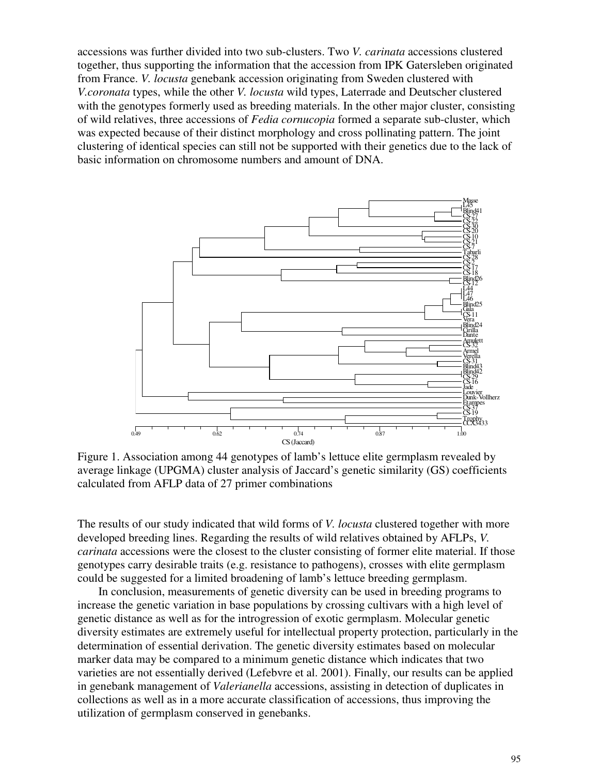accessions was further divided into two sub-clusters. Two *V. carinata* accessions clustered together, thus supporting the information that the accession from IPK Gatersleben originated from France. *V. locusta* genebank accession originating from Sweden clustered with *V.coronata* types, while the other *V. locusta* wild types, Laterrade and Deutscher clustered with the genotypes formerly used as breeding materials. In the other major cluster, consisting of wild relatives, three accessions of *Fedia cornucopia* formed a separate sub-cluster, which was expected because of their distinct morphology and cross pollinating pattern. The joint clustering of identical species can still not be supported with their genetics due to the lack of basic information on chromosome numbers and amount of DNA.



Figure 1. Association among 44 genotypes of lamb's lettuce elite germplasm revealed by average linkage (UPGMA) cluster analysis of Jaccard's genetic similarity (GS) coefficients calculated from AFLP data of 27 primer combinations

The results of our study indicated that wild forms of *V. locusta* clustered together with more developed breeding lines. Regarding the results of wild relatives obtained by AFLPs, *V. carinata* accessions were the closest to the cluster consisting of former elite material. If those genotypes carry desirable traits (e.g. resistance to pathogens), crosses with elite germplasm could be suggested for a limited broadening of lamb's lettuce breeding germplasm.

In conclusion, measurements of genetic diversity can be used in breeding programs to increase the genetic variation in base populations by crossing cultivars with a high level of genetic distance as well as for the introgression of exotic germplasm. Molecular genetic diversity estimates are extremely useful for intellectual property protection, particularly in the determination of essential derivation. The genetic diversity estimates based on molecular marker data may be compared to a minimum genetic distance which indicates that two varieties are not essentially derived (Lefebvre et al. 2001). Finally, our results can be applied in genebank management of *Valerianella* accessions, assisting in detection of duplicates in collections as well as in a more accurate classification of accessions, thus improving the utilization of germplasm conserved in genebanks.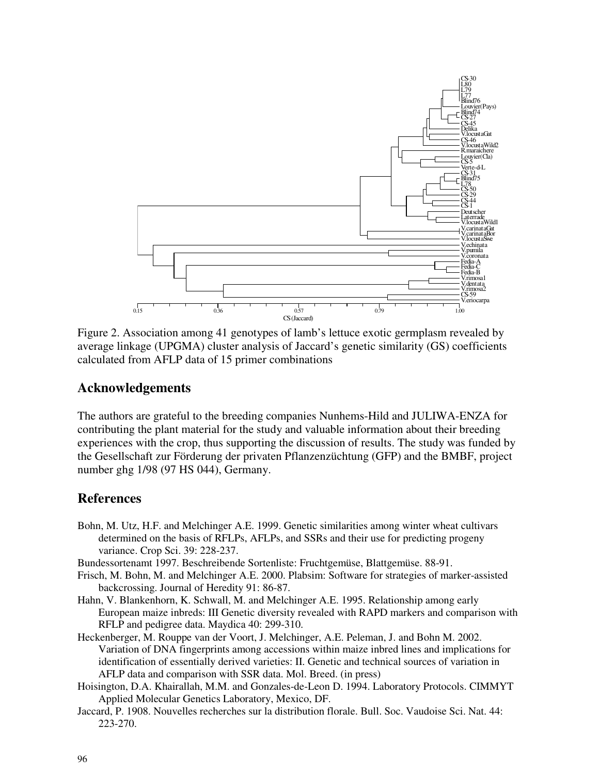

Figure 2. Association among 41 genotypes of lamb's lettuce exotic germplasm revealed by average linkage (UPGMA) cluster analysis of Jaccard's genetic similarity (GS) coefficients calculated from AFLP data of 15 primer combinations

## **Acknowledgements**

The authors are grateful to the breeding companies Nunhems-Hild and JULIWA-ENZA for contributing the plant material for the study and valuable information about their breeding experiences with the crop, thus supporting the discussion of results. The study was funded by the Gesellschaft zur Förderung der privaten Pflanzenzüchtung (GFP) and the BMBF, project number ghg 1/98 (97 HS 044), Germany.

## **References**

- Bohn, M. Utz, H.F. and Melchinger A.E. 1999. Genetic similarities among winter wheat cultivars determined on the basis of RFLPs, AFLPs, and SSRs and their use for predicting progeny variance. Crop Sci. 39: 228-237.
- Bundessortenamt 1997. Beschreibende Sortenliste: Fruchtgemüse, Blattgemüse. 88-91.
- Frisch, M. Bohn, M. and Melchinger A.E. 2000. Plabsim: Software for strategies of marker-assisted backcrossing. Journal of Heredity 91: 86-87.
- Hahn, V. Blankenhorn, K. Schwall, M. and Melchinger A.E. 1995. Relationship among early European maize inbreds: III Genetic diversity revealed with RAPD markers and comparison with RFLP and pedigree data. Maydica 40: 299-310.
- Heckenberger, M. Rouppe van der Voort, J. Melchinger, A.E. Peleman, J. and Bohn M. 2002. Variation of DNA fingerprints among accessions within maize inbred lines and implications for identification of essentially derived varieties: II. Genetic and technical sources of variation in AFLP data and comparison with SSR data. Mol. Breed. (in press)
- Hoisington, D.A. Khairallah, M.M. and Gonzales-de-Leon D. 1994. Laboratory Protocols. CIMMYT Applied Molecular Genetics Laboratory, Mexico, DF.
- Jaccard, P. 1908. Nouvelles recherches sur la distribution florale. Bull. Soc. Vaudoise Sci. Nat. 44: 223-270.